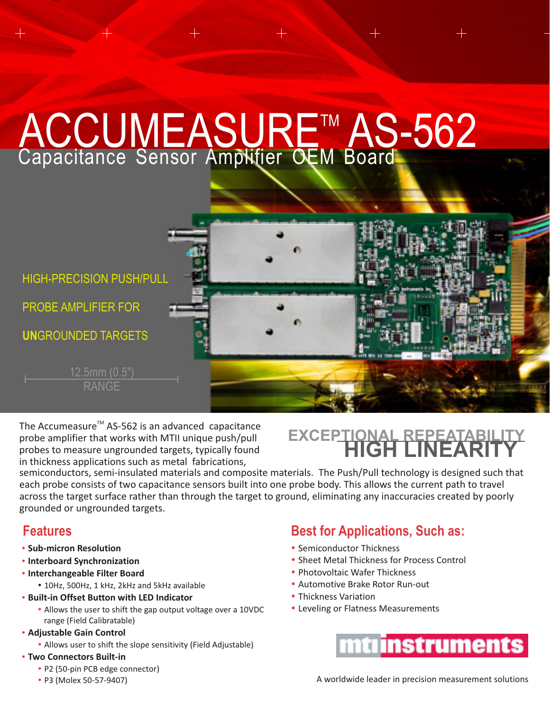# ACCUMEASURE<sup>TM</sup> AS-562 Capacitance Sensor Amplifier OEM Board



The Accumeasure<sup> $TM$ </sup> AS-562 is an advanced capacitance probe amplifier that works with MTII unique push/pull probes to measure ungrounded targets, typically found in thickness applications such as metal fabrications,

### **EXCEPTIONAL REPEATAB**<br>**I INFARI**

semiconductors, semi-insulated materials and composite materials. The Push/Pull technology is designed such that each probe consists of two capacitance sensors built into one probe body. This allows the current path to travel across the target surface rather than through the target to ground, eliminating any inaccuracies created by poorly grounded or ungrounded targets.

#### **Features**

- " **Sub-micron Resolution**
- **Interboard Synchronization**
- **Interchangeable Filter Board** 
	- 10Hz, 500Hz, 1 kHz, 2kHz and 5kHz available
- " **Built-in Offset Button with LED Indicator**
	- Allows the user to shift the gap output voltage over a 10VDC range (Field Calibratable)
- " **Adjustable Gain Control**
	- Allows user to shift the slope sensitivity (Field Adjustable)
- " **Two Connectors Built-in**
	- P2 (50-pin PCB edge connector)
	- P3 (Molex 50-57-9407)

#### **Best for Applications, Such as:**

- Semiconductor Thickness
- Sheet Metal Thickness for Process Control
- Photovoltaic Wafer Thickness
- Automotive Brake Rotor Run-out
- Thickness Variation
- Leveling or Flatness Measurements



A worldwide leader in precision measurement solutions